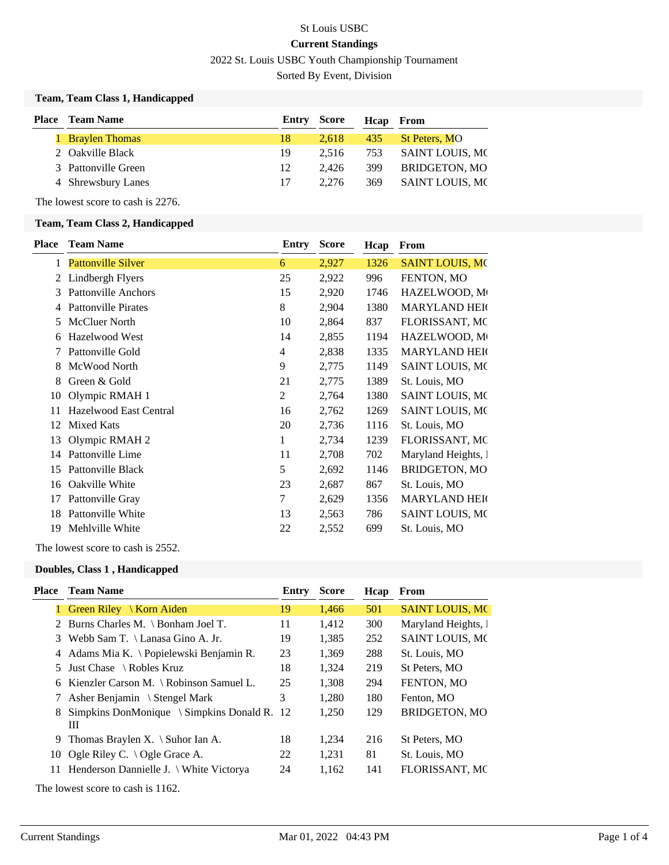# St Louis USBC **Current Standings** 2022 St. Louis USBC Youth Championship Tournament

Sorted By Event, Division

#### **Team, Team Class 1, Handicapped**

| <b>Place</b> Team Name |    |       | Heap From          |                     |
|------------------------|----|-------|--------------------|---------------------|
| 1 Braylen Thomas       | 18 | 2.618 |                    | 435 St Peters, MO   |
| 2 Oakville Black       | 19 | 2.516 |                    | 753 SAINT LOUIS, MC |
| 3 Pattonville Green    | 12 | 2.426 | 399                | BRIDGETON, MO       |
| 4 Shrewsbury Lanes     | 17 | 2.276 | 369                | SAINT LOUIS, MC     |
|                        |    |       | <b>Entry Score</b> |                     |

The lowest score to cash is 2276.

#### **Team, Team Class 2, Handicapped**

| <b>Place</b> | <b>Team Name</b>           | Entry | <b>Score</b> | Hcap | From                   |
|--------------|----------------------------|-------|--------------|------|------------------------|
| 1            | <b>Pattonville Silver</b>  | 6     | 2,927        | 1326 | <b>SAINT LOUIS, MO</b> |
| 2            | Lindbergh Flyers           | 25    | 2,922        | 996  | FENTON, MO             |
| 3            | <b>Pattonville Anchors</b> | 15    | 2,920        | 1746 | HAZELWOOD, M           |
| 4            | <b>Pattonville Pirates</b> | 8     | 2,904        | 1380 | <b>MARYLAND HEIG</b>   |
| 5            | <b>McCluer North</b>       | 10    | 2,864        | 837  | FLORISSANT, MC         |
| 6            | Hazelwood West             | 14    | 2,855        | 1194 | HAZELWOOD, M           |
|              | Pattonville Gold           | 4     | 2,838        | 1335 | <b>MARYLAND HEIG</b>   |
| 8            | McWood North               | 9     | 2,775        | 1149 | <b>SAINT LOUIS, MC</b> |
| 8            | Green & Gold               | 21    | 2,775        | 1389 | St. Louis, MO          |
| 10           | Olympic RMAH 1             | 2     | 2,764        | 1380 | SAINT LOUIS, MO        |
| 11           | Hazelwood East Central     | 16    | 2,762        | 1269 | SAINT LOUIS, MC        |
| 12           | <b>Mixed Kats</b>          | 20    | 2,736        | 1116 | St. Louis, MO          |
| 13           | Olympic RMAH 2             | 1     | 2,734        | 1239 | FLORISSANT, MC         |
| 14           | Pattonville Lime           | 11    | 2,708        | 702  | Maryland Heights, 1    |
| 15           | Pattonville Black          | 5     | 2,692        | 1146 | BRIDGETON, MO          |
| 16           | Oakville White             | 23    | 2,687        | 867  | St. Louis, MO          |
| 17           | Pattonville Gray           | 7     | 2,629        | 1356 | <b>MARYLAND HEIG</b>   |
| 18           | Pattonville White          | 13    | 2,563        | 786  | SAINT LOUIS, MO        |
| 19           | Mehlville White            | 22    | 2,552        | 699  | St. Louis, MO          |
|              |                            |       |              |      |                        |

The lowest score to cash is 2552.

#### **Doubles, Class 1 , Handicapped**

| Place | <b>Team Name</b>                                | Entry | <b>Score</b> | Hcap | From                   |
|-------|-------------------------------------------------|-------|--------------|------|------------------------|
|       | Green Riley   Korn Aiden                        | 19    | 1,466        | 501  | <b>SAINT LOUIS, MC</b> |
|       | 2 Burns Charles M. \ Bonham Joel T.             | 11    | 1,412        | 300  | Maryland Heights, 1    |
|       | 3 Webb Sam T. \ Lanasa Gino A. Jr.              | 19    | 1,385        | 252  | <b>SAINT LOUIS, MC</b> |
|       | 4 Adams Mia K. \ Popielewski Benjamin R.        | 23    | 1,369        | 288  | St. Louis, MO          |
| 5.    | Just Chase $\setminus$ Robles Kruz              | 18    | 1,324        | 219  | St Peters, MO          |
|       | 6 Kienzler Carson M. \ Robinson Samuel L.       | 25    | 1,308        | 294  | FENTON, MO             |
|       | 7 Asher Benjamin \ Stengel Mark                 | 3     | 1.280        | 180  | Fenton, MO             |
| 8     | Simpkins DonMonique $\Im$ Simpkins Donald R. 12 |       | 1,250        | 129  | <b>BRIDGETON, MO</b>   |
|       | Ш                                               |       |              |      |                        |
| 9     | Thomas Braylen X. $\setminus$ Suhor Ian A.      | 18    | 1,234        | 216  | St Peters, MO          |
| 10    | Ogle Riley C. $\setminus$ Ogle Grace A.         | 22    | 1.231        | 81   | St. Louis, MO          |
| 11    | Henderson Dannielle J. \ White Victorya         | 24    | 1,162        | 141  | <b>FLORISSANT, MC</b>  |
|       |                                                 |       |              |      |                        |

The lowest score to cash is 1162.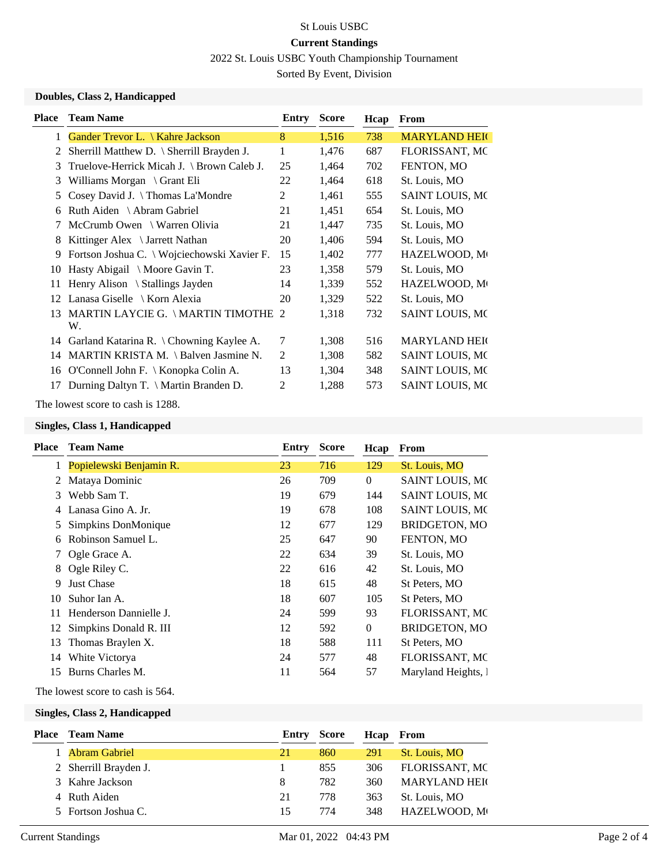## St Louis USBC **Current Standings**

2022 St. Louis USBC Youth Championship Tournament

Sorted By Event, Division

### **Doubles, Class 2, Handicapped**

| <b>Place</b> | <b>Team Name</b>                            | Entry | <b>Score</b> | Hcap | <b>From</b>            |
|--------------|---------------------------------------------|-------|--------------|------|------------------------|
| 1            | Gander Trevor L. \ Kahre Jackson            | 8     | 1,516        | 738  | <b>MARYLAND HEIG</b>   |
|              | Sherrill Matthew D. \ Sherrill Brayden J.   |       | 1,476        | 687  | FLORISSANT, MC         |
| 3            | Truelove-Herrick Micah J. \ Brown Caleb J.  | 25    | 1,464        | 702  | FENTON, MO             |
| 3            | Williams Morgan $\Gamma$ Grant Eli          | 22    | 1,464        | 618  | St. Louis, MO          |
| 5            | Cosey David J. \Thomas La'Mondre            | 2     | 1,461        | 555  | SAINT LOUIS, MO        |
| 6            | Ruth Aiden \ Abram Gabriel                  | 21    | 1,451        | 654  | St. Louis, MO          |
|              | McCrumb Owen \ Warren Olivia                | 21    | 1,447        | 735  | St. Louis, MO          |
| 8            | Kittinger Alex \ Jarrett Nathan             | 20    | 1,406        | 594  | St. Louis, MO          |
| 9            | Fortson Joshua C. \ Wojciechowski Xavier F. | 15    | 1,402        | 777  | HAZELWOOD, M           |
| 10           | Hasty Abigail \ Moore Gavin T.              | 23    | 1,358        | 579  | St. Louis, MO          |
| 11           | Henry Alison \ Stallings Jayden             | 14    | 1,339        | 552  | HAZELWOOD, M           |
| 12           | Lanasa Giselle \ Korn Alexia                | 20    | 1,329        | 522  | St. Louis, MO          |
| 13           | MARTIN LAYCIE G. \ MARTIN TIMOTHE 2<br>W.   |       | 1,318        | 732  | SAINT LOUIS, MO        |
| 14           | Garland Katarina R. \ Chowning Kaylee A.    | 7     | 1,308        | 516  | <b>MARYLAND HEIG</b>   |
| 14           | MARTIN KRISTA M. \ Balven Jasmine N.        | 2     | 1,308        | 582  | SAINT LOUIS, MO        |
| 16           | O'Connell John F. \ Konopka Colin A.        | 13    | 1,304        | 348  | SAINT LOUIS, MO        |
|              | Durning Daltyn T. \ Martin Branden D.       | 2     | 1,288        | 573  | <b>SAINT LOUIS, MC</b> |
|              |                                             |       |              |      |                        |

The lowest score to cash is 1288.

#### **Singles, Class 1, Handicapped**

| Place | <b>Team Name</b>        | Entry | <b>Score</b> | Hcap     | From                   |
|-------|-------------------------|-------|--------------|----------|------------------------|
|       | Popielewski Benjamin R. | 23    | 716          | 129      | St. Louis, MO          |
| 2     | Mataya Dominic          | 26    | 709          | $\Omega$ | <b>SAINT LOUIS, MC</b> |
| 3     | Webb Sam T.             | 19    | 679          | 144      | <b>SAINT LOUIS, MC</b> |
|       | Lanasa Gino A. Jr.      | 19    | 678          | 108      | <b>SAINT LOUIS, MC</b> |
| 5     | Simpkins DonMonique     | 12    | 677          | 129      | <b>BRIDGETON, MO</b>   |
| 6     | Robinson Samuel L.      | 25    | 647          | 90       | FENTON, MO             |
|       | Ogle Grace A.           | 22    | 634          | 39       | St. Louis, MO          |
| 8     | Ogle Riley C.           | 22    | 616          | 42       | St. Louis, MO          |
| 9     | <b>Just Chase</b>       | 18    | 615          | 48       | St Peters, MO          |
| 10    | Suhor Ian A.            | 18    | 607          | 105      | St Peters, MO          |
| 11    | Henderson Dannielle J.  | 24    | 599          | 93       | <b>FLORISSANT, MC</b>  |
| 12    | Simpkins Donald R. III  | 12    | 592          | $\Omega$ | <b>BRIDGETON, MO</b>   |
| 13    | Thomas Braylen X.       | 18    | 588          | 111      | St Peters, MO          |
| 14    | White Victorya          | 24    | 577          | 48       | FLORISSANT, MC         |
| 15    | Burns Charles M.        | 11    | 564          | 57       | Maryland Heights, 1    |
|       |                         |       |              |          |                        |

The lowest score to cash is 564.

#### **Singles, Class 2, Handicapped**

| <b>Place</b> Team Name | Entry | Score | Hcap | From                 |
|------------------------|-------|-------|------|----------------------|
| 1 Abram Gabriel        | 21    | 860   | 291  | St. Louis, MO        |
| 2 Sherrill Brayden J.  |       | 855   | 306  | FLORISSANT, MC       |
| 3 Kahre Jackson        | 8     | 782   | 360  | <b>MARYLAND HEIG</b> |
| 4 Ruth Aiden           | 21    | 778   | 363  | St. Louis, MO        |
| 5 Fortson Joshua C.    | 15    | 774   | 348  | HAZELWOOD, M         |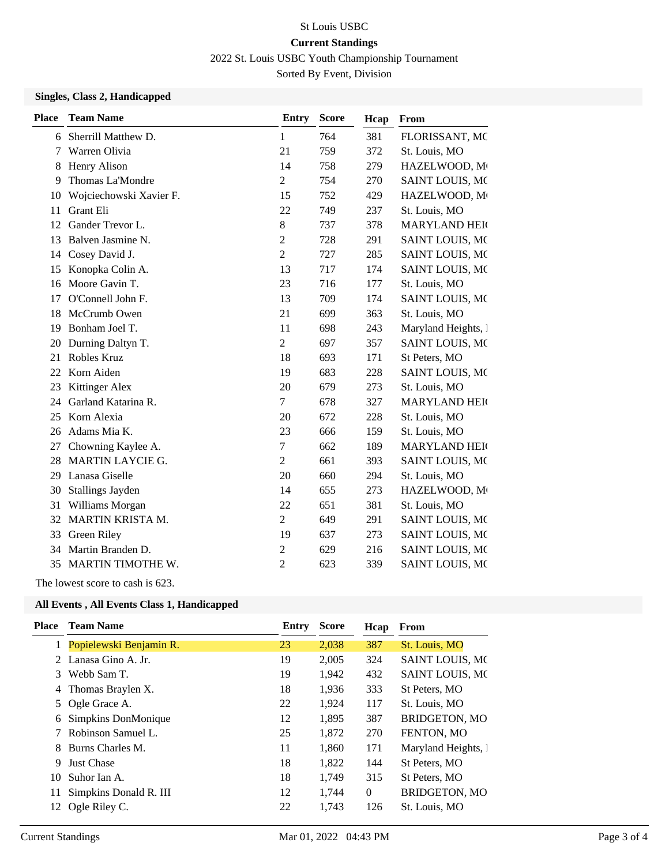# St Louis USBC **Current Standings**

2022 St. Louis USBC Youth Championship Tournament

Sorted By Event, Division

## **Singles, Class 2, Handicapped**

| <b>Place</b> | <b>Team Name</b>         | <b>Entry</b>   | <b>Score</b> | Hcap | From                   |
|--------------|--------------------------|----------------|--------------|------|------------------------|
| 6            | Sherrill Matthew D.      | $\mathbf{1}$   | 764          | 381  | FLORISSANT, MC         |
| 7            | Warren Olivia            | 21             | 759          | 372  | St. Louis, MO          |
| 8            | Henry Alison             | 14             | 758          | 279  | HAZELWOOD, M           |
| 9            | Thomas La'Mondre         | $\overline{2}$ | 754          | 270  | SAINT LOUIS, MO        |
| 10           | Wojciechowski Xavier F.  | 15             | 752          | 429  | HAZELWOOD, M           |
| 11           | Grant Eli                | 22             | 749          | 237  | St. Louis, MO          |
| 12           | Gander Trevor L.         | $8\,$          | 737          | 378  | <b>MARYLAND HEIG</b>   |
| 13           | Balven Jasmine N.        | $\overline{2}$ | 728          | 291  | SAINT LOUIS, MO        |
| 14           | Cosey David J.           | $\overline{2}$ | 727          | 285  | SAINT LOUIS, MO        |
| 15           | Konopka Colin A.         | 13             | 717          | 174  | <b>SAINT LOUIS, MC</b> |
| 16           | Moore Gavin T.           | 23             | 716          | 177  | St. Louis, MO          |
| 17           | O'Connell John F.        | 13             | 709          | 174  | <b>SAINT LOUIS, MC</b> |
| 18           | McCrumb Owen             | 21             | 699          | 363  | St. Louis, MO          |
| 19           | Bonham Joel T.           | 11             | 698          | 243  | Maryland Heights, 1    |
| 20           | Durning Daltyn T.        | $\overline{2}$ | 697          | 357  | <b>SAINT LOUIS, MC</b> |
| 21           | Robles Kruz              | 18             | 693          | 171  | St Peters, MO          |
| 22           | Korn Aiden               | 19             | 683          | 228  | <b>SAINT LOUIS, MC</b> |
| 23           | Kittinger Alex           | 20             | 679          | 273  | St. Louis, MO          |
| 24           | Garland Katarina R.      | $\overline{7}$ | 678          | 327  | <b>MARYLAND HEIG</b>   |
| 25           | Korn Alexia              | 20             | 672          | 228  | St. Louis, MO          |
| 26           | Adams Mia K.             | 23             | 666          | 159  | St. Louis, MO          |
| 27           | Chowning Kaylee A.       | $\tau$         | 662          | 189  | <b>MARYLAND HEIG</b>   |
| 28           | <b>MARTIN LAYCIE G.</b>  | $\overline{2}$ | 661          | 393  | SAINT LOUIS, MO        |
| 29           | Lanasa Giselle           | 20             | 660          | 294  | St. Louis, MO          |
| 30           | Stallings Jayden         | 14             | 655          | 273  | HAZELWOOD, M           |
| 31           | Williams Morgan          | 22             | 651          | 381  | St. Louis, MO          |
| 32           | MARTIN KRISTA M.         | $\overline{2}$ | 649          | 291  | SAINT LOUIS, MO        |
| 33           | Green Riley              | 19             | 637          | 273  | SAINT LOUIS, MO        |
| 34           | Martin Branden D.        | $\overline{2}$ | 629          | 216  | <b>SAINT LOUIS, MC</b> |
| 35           | <b>MARTIN TIMOTHE W.</b> | 2              | 623          | 339  | <b>SAINT LOUIS, MC</b> |
|              |                          |                |              |      |                        |

The lowest score to cash is 623.

#### **All Events , All Events Class 1, Handicapped**

| Place | <b>Team Name</b>          | Entry | <b>Score</b> | Hcap     | From                   |
|-------|---------------------------|-------|--------------|----------|------------------------|
|       | 1 Popielewski Benjamin R. | 23    | 2,038        | 387      | St. Louis, MO          |
|       | 2 Lanasa Gino A. Jr.      | 19    | 2,005        | 324      | <b>SAINT LOUIS, MC</b> |
| 3     | Webb Sam T.               | 19    | 1,942        | 432      | <b>SAINT LOUIS, MC</b> |
| 4     | Thomas Braylen X.         | 18    | 1,936        | 333      | St Peters, MO          |
| 5     | Ogle Grace A.             | 22    | 1,924        | 117      | St. Louis, MO          |
| 6     | Simpkins DonMonique       | 12    | 1,895        | 387      | <b>BRIDGETON, MO</b>   |
| 7     | Robinson Samuel L.        | 25    | 1,872        | 270      | FENTON, MO             |
| 8     | Burns Charles M.          | 11    | 1,860        | 171      | Maryland Heights, 1    |
| 9     | <b>Just Chase</b>         | 18    | 1,822        | 144      | St Peters, MO          |
| 10    | Suhor Ian A.              | 18    | 1,749        | 315      | St Peters, MO          |
| 11    | Simpkins Donald R. III    | 12    | 1.744        | $\Omega$ | <b>BRIDGETON, MO</b>   |
| 12    | Ogle Riley C.             | 22    | 1,743        | 126      | St. Louis, MO          |
|       |                           |       |              |          |                        |